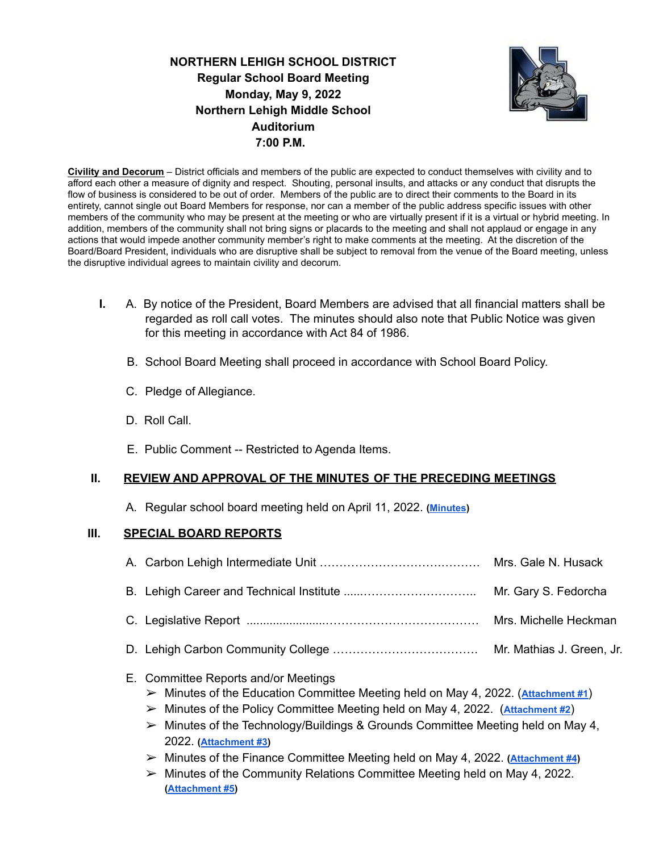**NORTHERN LEHIGH SCHOOL DISTRICT Regular School Board Meeting Monday, May 9, 2022 Northern Lehigh Middle School Auditorium 7:00 P.M.**



**Civility and Decorum** – District officials and members of the public are expected to conduct themselves with civility and to afford each other a measure of dignity and respect. Shouting, personal insults, and attacks or any conduct that disrupts the flow of business is considered to be out of order. Members of the public are to direct their comments to the Board in its entirety, cannot single out Board Members for response, nor can a member of the public address specific issues with other members of the community who may be present at the meeting or who are virtually present if it is a virtual or hybrid meeting. In addition, members of the community shall not bring signs or placards to the meeting and shall not applaud or engage in any actions that would impede another community member's right to make comments at the meeting. At the discretion of the Board/Board President, individuals who are disruptive shall be subject to removal from the venue of the Board meeting, unless the disruptive individual agrees to maintain civility and decorum.

- **I.** A. By notice of the President, Board Members are advised that all financial matters shall be regarded as roll call votes. The minutes should also note that Public Notice was given for this meeting in accordance with Act 84 of 1986.
	- B. School Board Meeting shall proceed in accordance with School Board Policy.
	- C. Pledge of Allegiance.
	- D. Roll Call.
	- E. Public Comment -- Restricted to Agenda Items.

## **II. REVIEW AND APPROVAL OF THE MINUTES OF THE PRECEDING MEETINGS**

A. Regular school board meeting held on April 11, 2022. **[\(Minutes](https://drive.google.com/file/d/1updyPz4C-XbzNFG3koxiU1h-VuM3axWF/view?usp=sharing))**

## **III. SPECIAL BOARD REPORTS**

## E. Committee Reports and/or Meetings

- ➢ Minutes of the Education Committee Meeting held on May 4, 2022. (**[Attachment #1](https://drive.google.com/file/d/1LujcjGE-adfHVFSfwEqwRLpUm1HoWbE9/view?usp=sharing)**)
- ➢ Minutes of the Policy Committee Meeting held on May 4, 2022. (**[Attachment #2](https://drive.google.com/file/d/1OpeC9HafpCx7umfWfmRs4X8j_vijxeEE/view?usp=sharing)**)
- $\triangleright$  Minutes of the Technology/Buildings & Grounds Committee Meeting held on May 4, 2022. **([Attachment #3\)](https://drive.google.com/file/d/1n4ZsapRYV9_P26zUeOyZQT8B2WTNETcW/view?usp=sharing)**
- ➢ Minutes of the Finance Committee Meeting held on May 4, 2022. **[\(Attachment #4](https://drive.google.com/file/d/17e6Hmk3t--G8XIGdNZYW-YcMUUOedZCh/view?usp=sharing))**
- ➢ Minutes of the Community Relations Committee Meeting held on May 4, 2022. **([Attachment #5](https://drive.google.com/file/d/1GVz-QfOIEyd2l8dQLW5Q0gCFE4Fo75TF/view?usp=sharing))**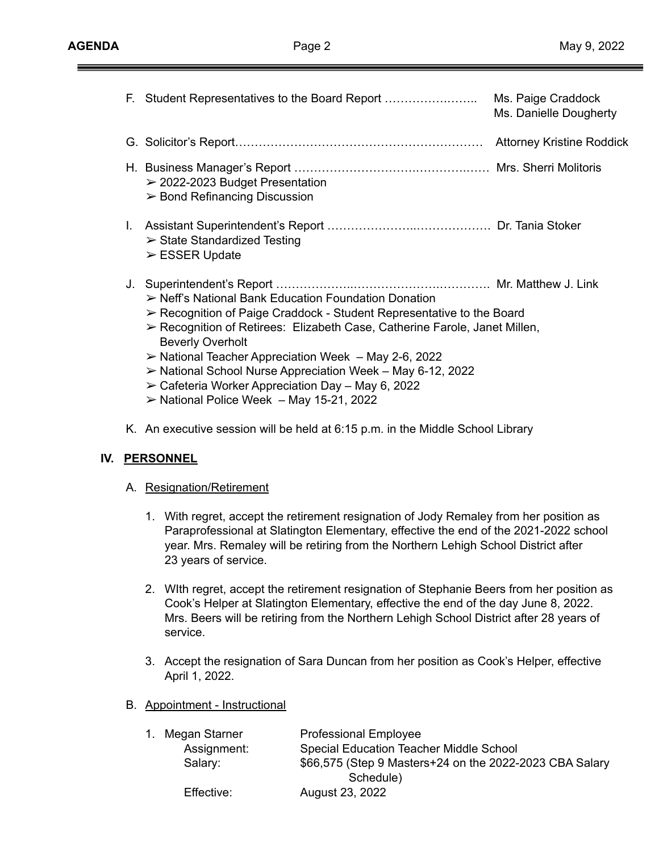|    | F. Student Representatives to the Board Report                                                                                                                                                                                                                                                                                                                                                                                                                                                                                                | Ms. Paige Craddock<br>Ms. Danielle Dougherty |
|----|-----------------------------------------------------------------------------------------------------------------------------------------------------------------------------------------------------------------------------------------------------------------------------------------------------------------------------------------------------------------------------------------------------------------------------------------------------------------------------------------------------------------------------------------------|----------------------------------------------|
|    |                                                                                                                                                                                                                                                                                                                                                                                                                                                                                                                                               |                                              |
|    | $\geq$ 2022-2023 Budget Presentation<br>$\triangleright$ Bond Refinancing Discussion                                                                                                                                                                                                                                                                                                                                                                                                                                                          |                                              |
| L. | $\triangleright$ State Standardized Testing<br>$\triangleright$ ESSER Update                                                                                                                                                                                                                                                                                                                                                                                                                                                                  |                                              |
|    | $\triangleright$ Neff's National Bank Education Foundation Donation<br>$\triangleright$ Recognition of Paige Craddock - Student Representative to the Board<br>► Recognition of Retirees: Elizabeth Case, Catherine Farole, Janet Millen,<br><b>Beverly Overholt</b><br>$\triangleright$ National Teacher Appreciation Week – May 2-6, 2022<br>$\triangleright$ National School Nurse Appreciation Week – May 6-12, 2022<br>$\geq$ Cafeteria Worker Appreciation Day – May 6, 2022<br>$\triangleright$ National Police Week - May 15-21, 2022 |                                              |

K. An executive session will be held at 6:15 p.m. in the Middle School Library

## **IV. PERSONNEL**

- A. Resignation/Retirement
	- 1. With regret, accept the retirement resignation of Jody Remaley from her position as Paraprofessional at Slatington Elementary, effective the end of the 2021-2022 school year. Mrs. Remaley will be retiring from the Northern Lehigh School District after 23 years of service.
	- 2. WIth regret, accept the retirement resignation of Stephanie Beers from her position as Cook's Helper at Slatington Elementary, effective the end of the day June 8, 2022. Mrs. Beers will be retiring from the Northern Lehigh School District after 28 years of service.
	- 3. Accept the resignation of Sara Duncan from her position as Cook's Helper, effective April 1, 2022.
- B. Appointment Instructional

| <b>Professional Employee</b><br>1. Megan Starner |             |                                                         |
|--------------------------------------------------|-------------|---------------------------------------------------------|
|                                                  | Assignment: | <b>Special Education Teacher Middle School</b>          |
|                                                  | Salary:     | \$66,575 (Step 9 Masters+24 on the 2022-2023 CBA Salary |
|                                                  |             | Schedule)                                               |
|                                                  | Effective:  | August 23, 2022                                         |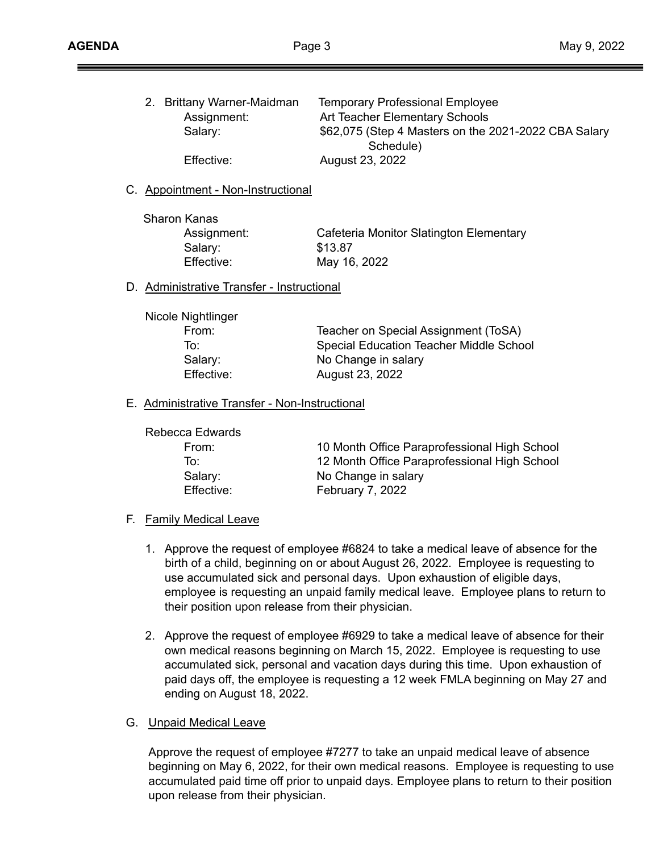| 2. Brittany Warner-Maidman | <b>Temporary Professional Employee</b>               |
|----------------------------|------------------------------------------------------|
| Assignment:                | Art Teacher Elementary Schools                       |
| Salary:                    | \$62,075 (Step 4 Masters on the 2021-2022 CBA Salary |
|                            | Schedule)                                            |
| Effective:                 | August 23, 2022                                      |
|                            |                                                      |

#### C. Appointment - Non-Instructional

Sharon Kanas Salary: \$13.87

Assignment: Cafeteria Monitor Slatington Elementary Effective: May 16, 2022

D. Administrative Transfer - Instructional

| Nicole Nightlinger |                                                |
|--------------------|------------------------------------------------|
| From:              | Teacher on Special Assignment (ToSA)           |
| To∶                | <b>Special Education Teacher Middle School</b> |
| Salary:            | No Change in salary                            |
| Effective:         | August 23, 2022                                |

#### E. Administrative Transfer - Non-Instructional

Rebecca Edwards

From: 10 Month Office Paraprofessional High School To: 12 Month Office Paraprofessional High School Salary: No Change in salary Effective: February 7, 2022

#### F. Family Medical Leave

- 1. Approve the request of employee #6824 to take a medical leave of absence for the birth of a child, beginning on or about August 26, 2022. Employee is requesting to use accumulated sick and personal days. Upon exhaustion of eligible days, employee is requesting an unpaid family medical leave. Employee plans to return to their position upon release from their physician.
- 2. Approve the request of employee #6929 to take a medical leave of absence for their own medical reasons beginning on March 15, 2022. Employee is requesting to use accumulated sick, personal and vacation days during this time. Upon exhaustion of paid days off, the employee is requesting a 12 week FMLA beginning on May 27 and ending on August 18, 2022.

#### G. Unpaid Medical Leave

Approve the request of employee #7277 to take an unpaid medical leave of absence beginning on May 6, 2022, for their own medical reasons. Employee is requesting to use accumulated paid time off prior to unpaid days. Employee plans to return to their position upon release from their physician.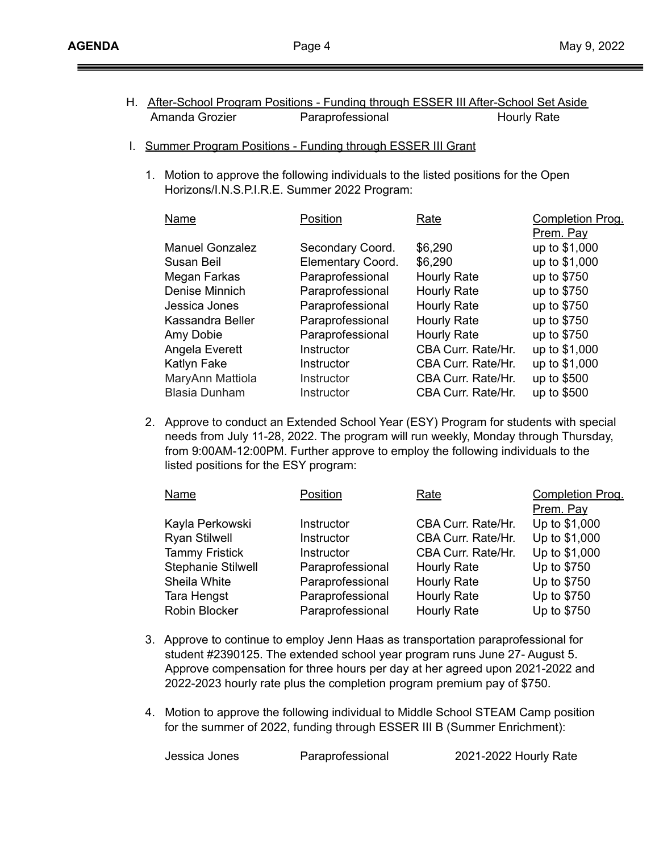- H. After-School Program Positions Funding through ESSER III After-School Set Aside Amanda Grozier **Paraprofessional** Hourly Rate
- I. Summer Program Positions Funding through ESSER III Grant
	- 1. Motion to approve the following individuals to the listed positions for the Open Horizons/I.N.S.P.I.R.E. Summer 2022 Program:

| Name                   | Position          | Rate               | Completion Prog. |
|------------------------|-------------------|--------------------|------------------|
|                        |                   |                    | Prem. Pay        |
| <b>Manuel Gonzalez</b> | Secondary Coord.  | \$6,290            | up to \$1,000    |
| Susan Beil             | Elementary Coord. | \$6,290            | up to \$1,000    |
| Megan Farkas           | Paraprofessional  | <b>Hourly Rate</b> | up to \$750      |
| Denise Minnich         | Paraprofessional  | <b>Hourly Rate</b> | up to \$750      |
| Jessica Jones          | Paraprofessional  | <b>Hourly Rate</b> | up to \$750      |
| Kassandra Beller       | Paraprofessional  | <b>Hourly Rate</b> | up to \$750      |
| Amy Dobie              | Paraprofessional  | <b>Hourly Rate</b> | up to \$750      |
| Angela Everett         | Instructor        | CBA Curr. Rate/Hr. | up to \$1,000    |
| Katlyn Fake            | Instructor        | CBA Curr. Rate/Hr. | up to \$1,000    |
| MaryAnn Mattiola       | Instructor        | CBA Curr. Rate/Hr. | up to \$500      |
| <b>Blasia Dunham</b>   | Instructor        | CBA Curr. Rate/Hr. | up to \$500      |

2. Approve to conduct an Extended School Year (ESY) Program for students with special needs from July 11-28, 2022. The program will run weekly, Monday through Thursday, from 9:00AM-12:00PM. Further approve to employ the following individuals to the listed positions for the ESY program:

| Position         | Rate               | <b>Completion Prog.</b> |
|------------------|--------------------|-------------------------|
|                  |                    | Prem. Pay               |
| Instructor       | CBA Curr. Rate/Hr. | Up to \$1,000           |
| Instructor       | CBA Curr. Rate/Hr. | Up to \$1,000           |
| Instructor       | CBA Curr. Rate/Hr. | Up to \$1,000           |
| Paraprofessional | <b>Hourly Rate</b> | Up to \$750             |
| Paraprofessional | Hourly Rate        | Up to \$750             |
| Paraprofessional | <b>Hourly Rate</b> | Up to \$750             |
| Paraprofessional | <b>Hourly Rate</b> | Up to \$750             |
|                  |                    |                         |

- 3. Approve to continue to employ Jenn Haas as transportation paraprofessional for student #2390125. The extended school year program runs June 27- August 5. Approve compensation for three hours per day at her agreed upon 2021-2022 and 2022-2023 hourly rate plus the completion program premium pay of \$750.
- 4. Motion to approve the following individual to Middle School STEAM Camp position for the summer of 2022, funding through ESSER III B (Summer Enrichment):

Jessica Jones Paraprofessional 2021-2022 Hourly Rate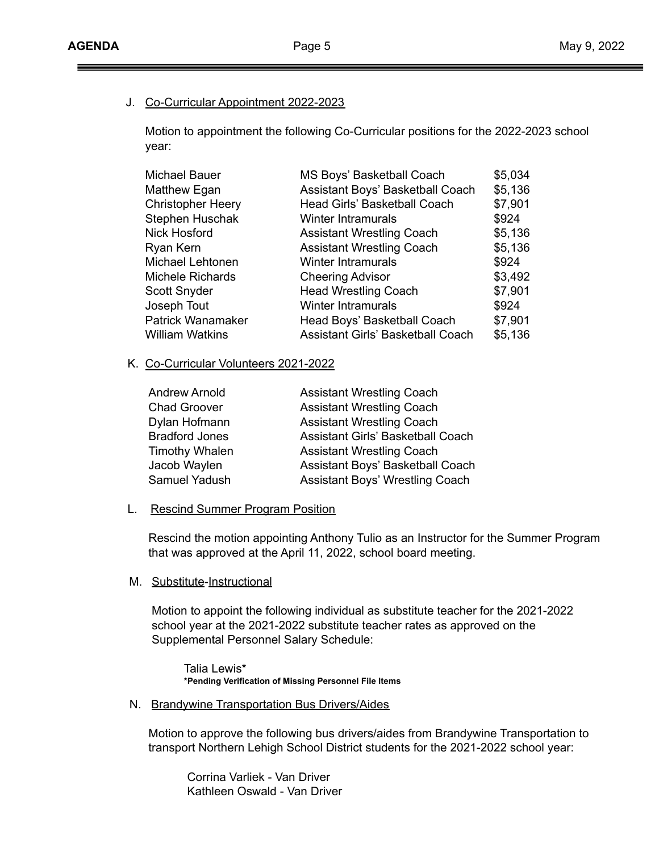## J. Co-Curricular Appointment 2022-2023

Motion to appointment the following Co-Curricular positions for the 2022-2023 school year:

| <b>Michael Bauer</b>     | MS Boys' Basketball Coach                | \$5,034 |
|--------------------------|------------------------------------------|---------|
| Matthew Egan             | Assistant Boys' Basketball Coach         | \$5,136 |
| <b>Christopher Heery</b> | Head Girls' Basketball Coach             | \$7,901 |
| Stephen Huschak          | <b>Winter Intramurals</b>                | \$924   |
| <b>Nick Hosford</b>      | <b>Assistant Wrestling Coach</b>         | \$5,136 |
| Ryan Kern                | <b>Assistant Wrestling Coach</b>         | \$5,136 |
| Michael Lehtonen         | <b>Winter Intramurals</b>                | \$924   |
| Michele Richards         | <b>Cheering Advisor</b>                  | \$3,492 |
| <b>Scott Snyder</b>      | <b>Head Wrestling Coach</b>              | \$7,901 |
| Joseph Tout              | <b>Winter Intramurals</b>                | \$924   |
| <b>Patrick Wanamaker</b> | Head Boys' Basketball Coach              | \$7,901 |
| <b>William Watkins</b>   | <b>Assistant Girls' Basketball Coach</b> | \$5,136 |

## K. Co-Curricular Volunteers 2021-2022

| <b>Andrew Arnold</b>  | <b>Assistant Wrestling Coach</b>       |
|-----------------------|----------------------------------------|
| <b>Chad Groover</b>   | <b>Assistant Wrestling Coach</b>       |
| Dylan Hofmann         | <b>Assistant Wrestling Coach</b>       |
| <b>Bradford Jones</b> | Assistant Girls' Basketball Coach      |
| <b>Timothy Whalen</b> | <b>Assistant Wrestling Coach</b>       |
| Jacob Waylen          | Assistant Boys' Basketball Coach       |
| Samuel Yadush         | <b>Assistant Boys' Wrestling Coach</b> |
|                       |                                        |

#### L. Rescind Summer Program Position

Rescind the motion appointing Anthony Tulio as an Instructor for the Summer Program that was approved at the April 11, 2022, school board meeting.

#### M. Substitute-Instructional

Motion to appoint the following individual as substitute teacher for the 2021-2022 school year at the 2021-2022 substitute teacher rates as approved on the Supplemental Personnel Salary Schedule:

Talia Lewis\* **\*Pending Verification of Missing Personnel File Items**

N. Brandywine Transportation Bus Drivers/Aides

Motion to approve the following bus drivers/aides from Brandywine Transportation to transport Northern Lehigh School District students for the 2021-2022 school year:

Corrina Varliek - Van Driver Kathleen Oswald - Van Driver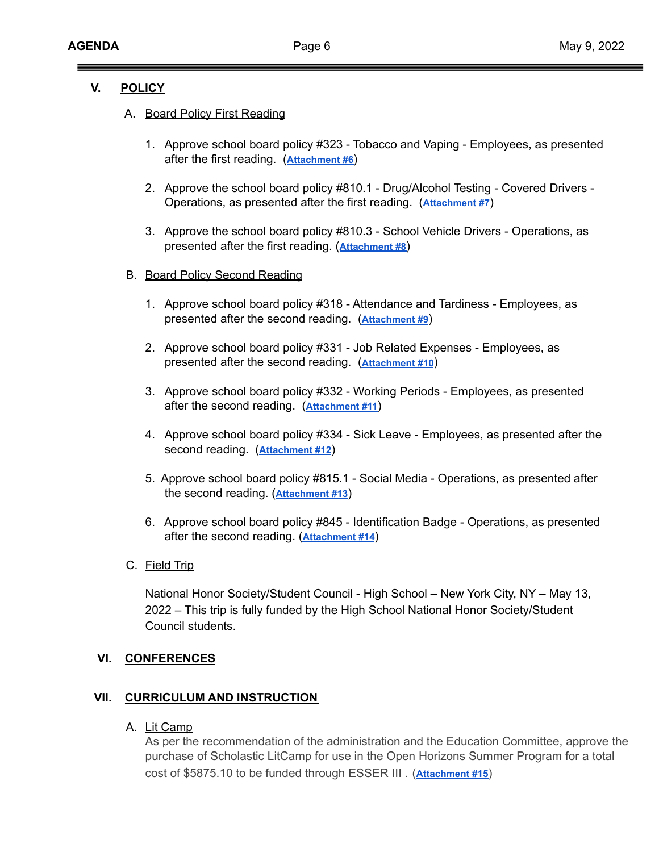## **V. POLICY**

## A. Board Policy First Reading

- 1. Approve school board policy #323 Tobacco and Vaping Employees, as presented after the first reading. (**[Attachment #6](https://drive.google.com/file/d/1AB52hVpzVNAtwJfLtEOfG6TS3iBldAx2/view?usp=sharing)**)
- 2. Approve the school board policy #810.1 Drug/Alcohol Testing Covered Drivers Operations, as presented after the first reading. (**[Attachment #7](https://drive.google.com/file/d/1RTzfk5D6-ErGnsVAWe2YqwfiRBBEhDo5/view?usp=sharing)**)
- 3. Approve the school board policy #810.3 School Vehicle Drivers Operations, as presented after the first reading. (**[Attachment](https://drive.google.com/file/d/10b54JxzBw49OGFzJrhU0gZdRtqdQWm6x/view?usp=sharing) #8**)

#### B. Board Policy Second Reading

- 1. Approve school board policy #318 Attendance and Tardiness Employees, as presented after the second reading. (**[Attachment](https://drive.google.com/file/d/1OL3FDzriemdLlPKShcDmhOoHIvAtE88g/view?usp=sharing) #9**)
- 2. Approve school board policy #331 Job Related Expenses Employees, as presented after the second reading. (**[Attachment](https://drive.google.com/file/d/1S_TtLxFiJOqZQ1Nx_mqfkxKoPG-cDi0s/view?usp=sharing) #10**)
- 3. Approve school board policy #332 Working Periods Employees, as presented after the second reading. (**[Attachment #11](https://drive.google.com/file/d/1KBpUBEzR3nCqLcx5mGPUWPOdAPaKovpE/view?usp=sharing)**)
- 4. Approve school board policy #334 Sick Leave Employees, as presented after the second reading. (**[Attachment #12](https://drive.google.com/file/d/1BxgNaiKM65TYhev6aexPUtN0NuedBXuY/view?usp=sharing)**)
- 5. Approve school board policy #815.1 Social Media Operations, as presented after the second reading. (**[Attachment #13](https://drive.google.com/file/d/1Qd3HoJONVTI19MbqOHADapqQJv21ScgX/view?usp=sharing)**)
- 6. Approve school board policy #845 Identification Badge Operations, as presented after the second reading. (**[Attachment #14](https://drive.google.com/file/d/1OdZSaLB9z38Wjhzxy1GYnrPPTy3GxK95/view?usp=sharing)**)
- C. Field Trip

National Honor Society/Student Council - High School – New York City, NY – May 13, 2022 – This trip is fully funded by the High School National Honor Society/Student Council students.

## **VI. CONFERENCES**

## **VII. CURRICULUM AND INSTRUCTION**

A. Lit Camp

As per the recommendation of the administration and the Education Committee, approve the purchase of Scholastic LitCamp for use in the Open Horizons Summer Program for a total cost of \$5875.10 to be funded through ESSER III . (**[Attachment #15](https://drive.google.com/file/d/1PdGvY-MnzAdOyExjlBCoLkT_cWbiAEo5/view?usp=sharing)**)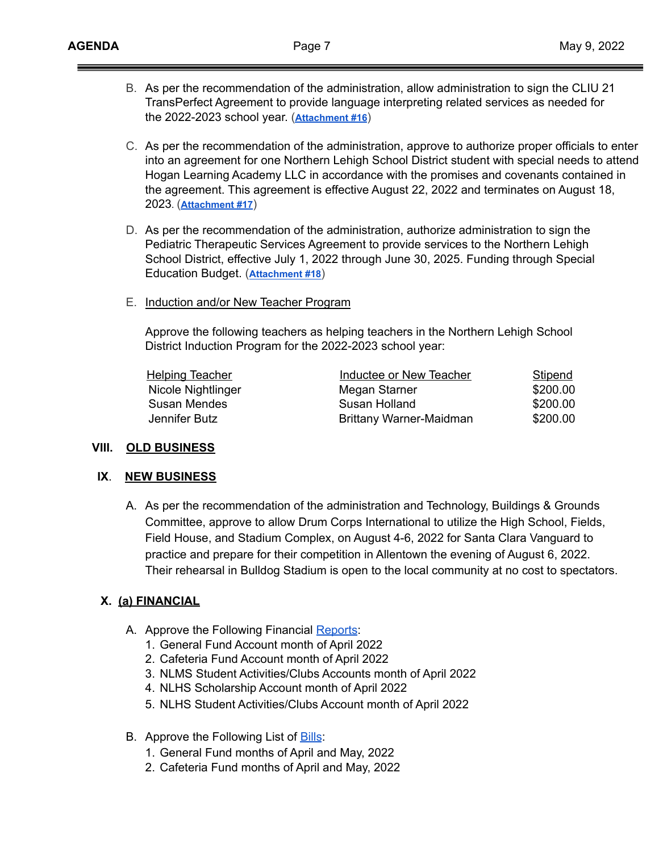- B. As per the recommendation of the administration, allow administration to sign the CLIU 21 TransPerfect Agreement to provide language interpreting related services as needed for the 2022-2023 school year. (**[Attachment #16](https://drive.google.com/file/d/1w1aYa48GK8kKrsiabrTK-YZ9xecxul0g/view?usp=sharing)**)
- C. As per the recommendation of the administration, approve to authorize proper officials to enter into an agreement for one Northern Lehigh School District student with special needs to attend Hogan Learning Academy LLC in accordance with the promises and covenants contained in the agreement. This agreement is effective August 22, 2022 and terminates on August 18, 2023. (**[Attachment #17](https://drive.google.com/file/d/1ezgr0UfpH_f9rcLlwdWohQvTfV_WsjLp/view?usp=sharing)**)
- D. As per the recommendation of the administration, authorize administration to sign the Pediatric Therapeutic Services Agreement to provide services to the Northern Lehigh School District, effective July 1, 2022 through June 30, 2025. Funding through Special Education Budget. (**[Attachment #18](https://drive.google.com/file/d/1-nwbHrWSVWqBVsm_swvN5u53aZcSavDs/view?usp=sharing)**)
- E. Induction and/or New Teacher Program

Approve the following teachers as helping teachers in the Northern Lehigh School District Induction Program for the 2022-2023 school year:

| <b>Helping Teacher</b> | Inductee or New Teacher | <b>Stipend</b> |
|------------------------|-------------------------|----------------|
| Nicole Nightlinger     | Megan Starner           | \$200.00       |
| Susan Mendes           | Susan Holland           | \$200.00       |
| Jennifer Butz          | Brittany Warner-Maidman | \$200.00       |

#### **VIII. OLD BUSINESS**

#### **IX**. **NEW BUSINESS**

A. As per the recommendation of the administration and Technology, Buildings & Grounds Committee, approve to allow Drum Corps International to utilize the High School, Fields, Field House, and Stadium Complex, on August 4-6, 2022 for Santa Clara Vanguard to practice and prepare for their competition in Allentown the evening of August 6, 2022. Their rehearsal in Bulldog Stadium is open to the local community at no cost to spectators.

#### **X. (a) FINANCIAL**

- A. Approve the Following Financial [Reports](https://drive.google.com/file/d/1o-80gQJVj_uemKlbdPqJDuoGpzv6Vht4/view?usp=sharing):
	- 1. General Fund Account month of April 2022
	- 2. Cafeteria Fund Account month of April 2022
	- 3. NLMS Student Activities/Clubs Accounts month of April 2022
	- 4. NLHS Scholarship Account month of April 2022
	- 5. NLHS Student Activities/Clubs Account month of April 2022
- B. Approve the Following List of **[Bills](https://drive.google.com/file/d/15zBOHhjDE9rvssoA_1ew7v9P6Iatf9z5/view?usp=sharing)**:
	- 1. General Fund months of April and May, 2022
	- 2. Cafeteria Fund months of April and May, 2022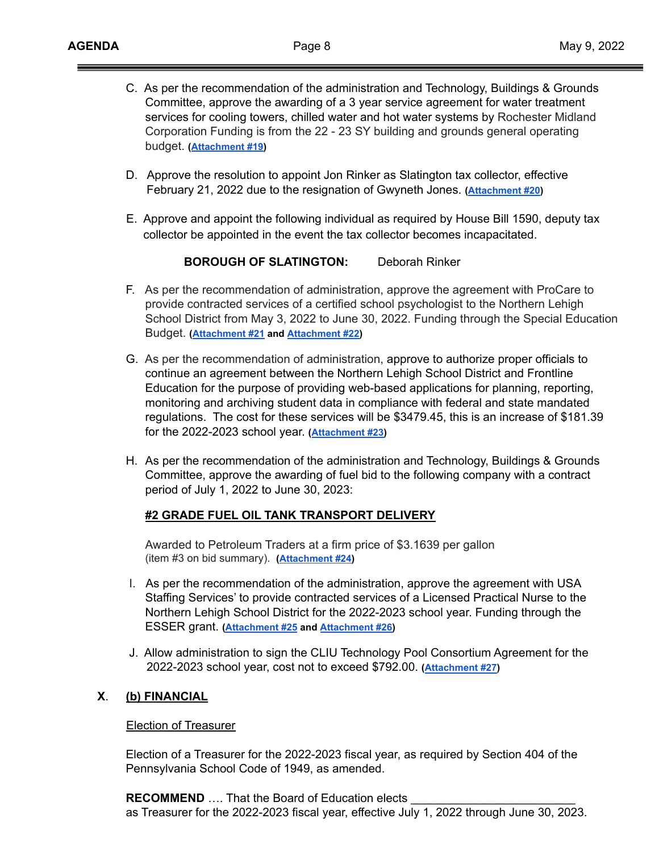- C. As per the recommendation of the administration and Technology, Buildings & Grounds Committee, approve the awarding of a 3 year service agreement for water treatment services for cooling towers, chilled water and hot water systems by Rochester Midland Corporation Funding is from the 22 - 23 SY building and grounds general operating budget. **([Attachment #19\)](https://drive.google.com/file/d/1iAUgRH5NGtz4ACZJpgT2U-nBTSSrCa9q/view?usp=sharing)**
- D. Approve the resolution to appoint Jon Rinker as Slatington tax collector, effective February 21, 2022 due to the resignation of Gwyneth Jones. **[\(Attachment #20](https://drive.google.com/file/d/1KU2XWqQ8V6FCfcLyKALaLJP8Ef9TPZVq/view?usp=sharing))**
- E. Approve and appoint the following individual as required by House Bill 1590, deputy tax collector be appointed in the event the tax collector becomes incapacitated.

## **BOROUGH OF SLATINGTON:** Deborah Rinker

- F. As per the recommendation of administration, approve the agreement with ProCare to provide contracted services of a certified school psychologist to the Northern Lehigh School District from May 3, 2022 to June 30, 2022. Funding through the Special Education Budget. **([Attachment #21](https://drive.google.com/file/d/1S3P0aNLSeMQje2umG7yigzuvbj1SMBIf/view?usp=sharing) and [Attachment #22\)](https://drive.google.com/file/d/15WKIEDAL2XnLa7Qcc6Ykpua6Z5rs2cfu/view?usp=sharing)**
- G. As per the recommendation of administration, approve to authorize proper officials to continue an agreement between the Northern Lehigh School District and Frontline Education for the purpose of providing web-based applications for planning, reporting, monitoring and archiving student data in compliance with federal and state mandated regulations. The cost for these services will be \$3479.45, this is an increase of \$181.39 for the 2022-2023 school year. **([Attachment #23\)](https://drive.google.com/file/d/1afLI0jnSN77bE_vIr5eMO0hkqEIJwWn8/view?usp=sharing)**
- H. As per the recommendation of the administration and Technology, Buildings & Grounds Committee, approve the awarding of fuel bid to the following company with a contract period of July 1, 2022 to June 30, 2023:

#### **#2 GRADE FUEL OIL TANK TRANSPORT DELIVERY**

Awarded to Petroleum Traders at a firm price of \$3.1639 per gallon (item #3 on bid summary). **([Attachment #24\)](https://drive.google.com/file/d/10PMuYTiJwWoLnntFAEJlWv_d0V_7F2sH/view?usp=sharing)**

- I. As per the recommendation of the administration, approve the agreement with USA Staffing Services' to provide contracted services of a Licensed Practical Nurse to the Northern Lehigh School District for the 2022-2023 school year. Funding through the ESSER grant. **[\(Attachment #25](https://drive.google.com/file/d/1nc9L_xmx2cBC7EJpe76k8NZLZOVMAof-/view?usp=sharing) and [Attachment #26\)](https://drive.google.com/file/d/1D0f2i7Uyq5F6nbvtNMMPZQBAxjFvy1bc/view?usp=sharing)**
- J. Allow administration to sign the CLIU Technology Pool Consortium Agreement for the 2022-2023 school year, cost not to exceed \$792.00. **([Attachment #27\)](https://drive.google.com/file/d/1WX_BTHpeRrTO0TR5xo-pN2TmVjCdEBOt/view?usp=sharing)**

## **X**. **(b) FINANCIAL**

## Election of Treasurer

Election of a Treasurer for the 2022-2023 fiscal year, as required by Section 404 of the Pennsylvania School Code of 1949, as amended.

**RECOMMEND** .... That the Board of Education elects as Treasurer for the 2022-2023 fiscal year, effective July 1, 2022 through June 30, 2023.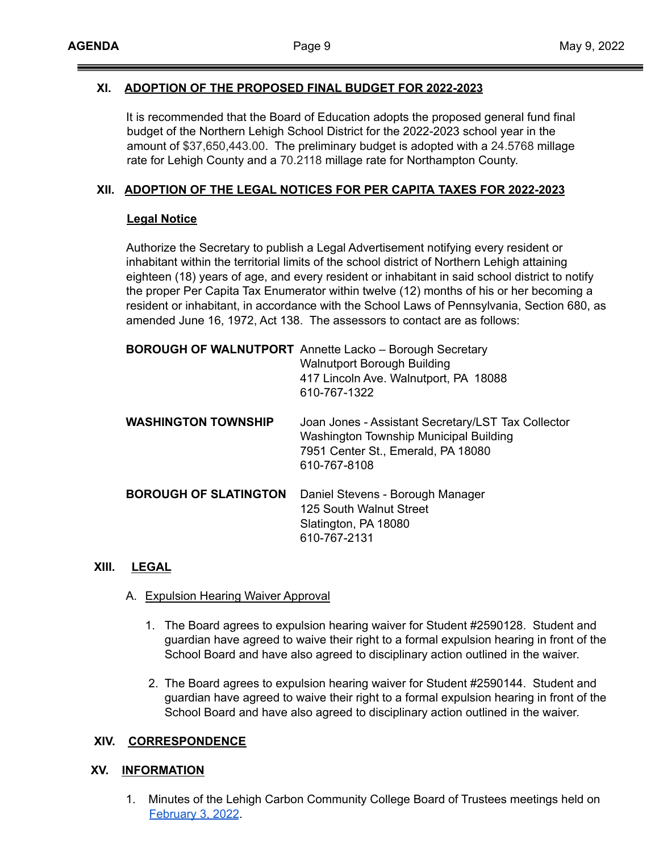## **XI. ADOPTION OF THE PROPOSED FINAL BUDGET FOR 2022-2023**

It is recommended that the Board of Education adopts the proposed general fund final budget of the Northern Lehigh School District for the 2022-2023 school year in the amount of \$37,650,443.00. The preliminary budget is adopted with a 24.5768 millage rate for Lehigh County and a 70.2118 millage rate for Northampton County.

## **XII. ADOPTION OF THE LEGAL NOTICES FOR PER CAPITA TAXES FOR 2022-2023**

#### **Legal Notice**

Authorize the Secretary to publish a Legal Advertisement notifying every resident or inhabitant within the territorial limits of the school district of Northern Lehigh attaining eighteen (18) years of age, and every resident or inhabitant in said school district to notify the proper Per Capita Tax Enumerator within twelve (12) months of his or her becoming a resident or inhabitant, in accordance with the School Laws of Pennsylvania, Section 680, as amended June 16, 1972, Act 138. The assessors to contact are as follows:

|                              | <b>BOROUGH OF WALNUTPORT</b> Annette Lacko - Borough Secretary<br><b>Walnutport Borough Building</b><br>417 Lincoln Ave. Walnutport, PA 18088<br>610-767-1322 |
|------------------------------|---------------------------------------------------------------------------------------------------------------------------------------------------------------|
| <b>WASHINGTON TOWNSHIP</b>   | Joan Jones - Assistant Secretary/LST Tax Collector<br>Washington Township Municipal Building<br>7951 Center St., Emerald, PA 18080<br>610-767-8108            |
| <b>BOROUGH OF SLATINGTON</b> | Daniel Stevens - Borough Manager<br>125 South Walnut Street<br>Slatington, PA 18080<br>610-767-2131                                                           |

#### **XIII. LEGAL**

- A. Expulsion Hearing Waiver Approval
	- 1. The Board agrees to expulsion hearing waiver for Student #2590128. Student and guardian have agreed to waive their right to a formal expulsion hearing in front of the School Board and have also agreed to disciplinary action outlined in the waiver.
	- 2. The Board agrees to expulsion hearing waiver for Student #2590144. Student and guardian have agreed to waive their right to a formal expulsion hearing in front of the School Board and have also agreed to disciplinary action outlined in the waiver.

#### **XIV. CORRESPONDENCE**

#### **XV. INFORMATION**

1. Minutes of the Lehigh Carbon Community College Board of Trustees meetings held on [February](https://drive.google.com/file/d/17DEIxp-1aLsCXqAadjirzH5vIICZMfKS/view?usp=sharing) 3, 2022.